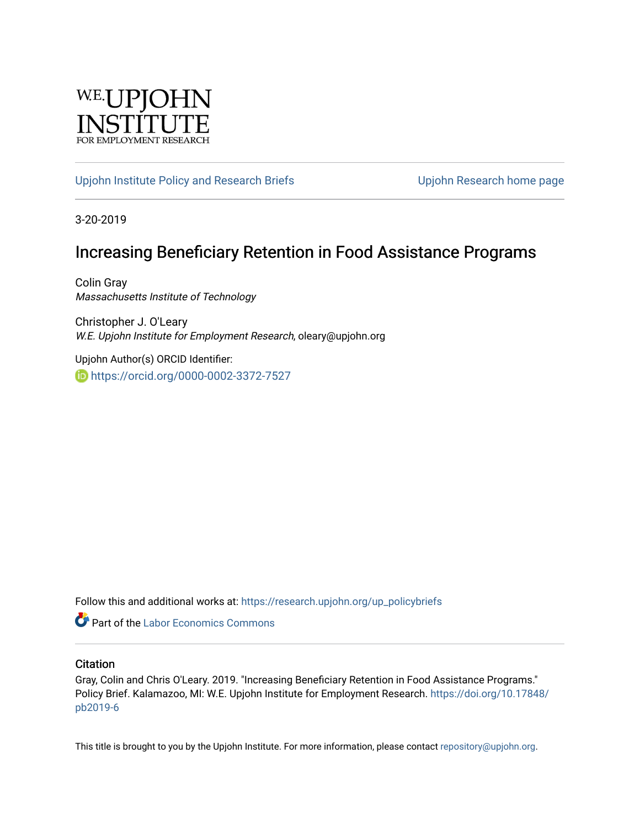

#### [Upjohn Institute Policy and Research Briefs](https://research.upjohn.org/up_policybriefs) Upjohn Research home page

3-20-2019

## Increasing Beneficiary Retention in Food Assistance Programs

Colin Gray Massachusetts Institute of Technology

Christopher J. O'Leary W.E. Upjohn Institute for Employment Research, oleary@upjohn.org

Upjohn Author(s) ORCID Identifier: <https://orcid.org/0000-0002-3372-7527>

Follow this and additional works at: [https://research.upjohn.org/up\\_policybriefs](https://research.upjohn.org/up_policybriefs?utm_source=research.upjohn.org%2Fup_policybriefs%2F6&utm_medium=PDF&utm_campaign=PDFCoverPages)

**C** Part of the [Labor Economics Commons](http://network.bepress.com/hgg/discipline/349?utm_source=research.upjohn.org%2Fup_policybriefs%2F6&utm_medium=PDF&utm_campaign=PDFCoverPages)

#### **Citation**

Gray, Colin and Chris O'Leary. 2019. "Increasing Beneficiary Retention in Food Assistance Programs." Policy Brief. Kalamazoo, MI: W.E. Upjohn Institute for Employment Research. [https://doi.org/10.17848/](https://doi.org/10.17848/pb2019-6) [pb2019-6](https://doi.org/10.17848/pb2019-6)

This title is brought to you by the Upjohn Institute. For more information, please contact [repository@upjohn.org](mailto:repository@upjohn.org).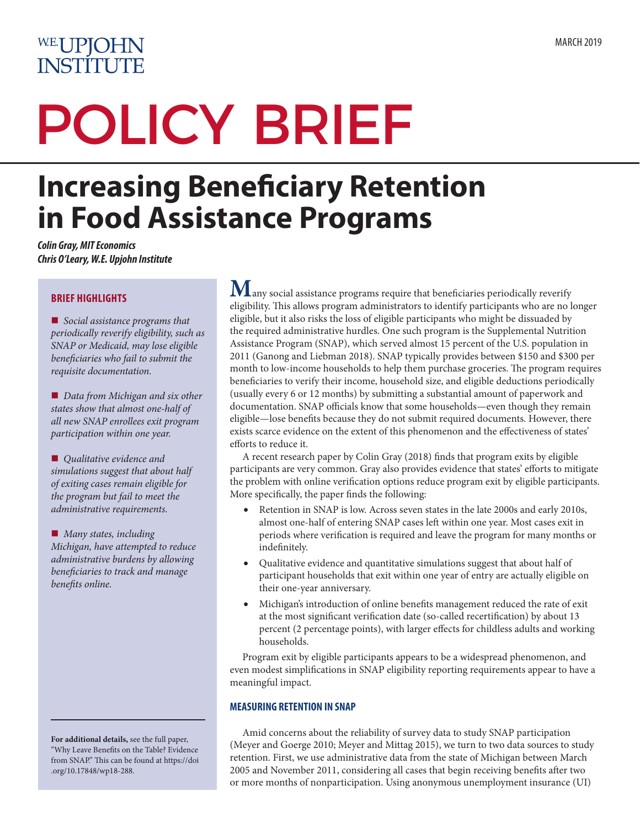# WE.UPJOHN **INSTITUTE**

# POLICY BRIEF

# **Increasing Beneficiary Retention in Food Assistance Programs**

*Colin Gray, MIT Economics Chris O'Leary, W.E. Upjohn Institute*

#### **BRIEF HIGHLIGHTS**

■ *Social assistance programs that periodically reverify eligibility, such as SNAP or Medicaid, may lose eligible beneficiaries who fail to submit the requisite documentation.*

■ *Data from Michigan and six other states show that almost one-half of all new SNAP enrollees exit program participation within one year.*

■ *Qualitative evidence and simulations suggest that about half of exiting cases remain eligible for the program but fail to meet the administrative requirements.*

■ *Many states, including Michigan, have attempted to reduce administrative burdens by allowing beneficiaries to track and manage benefits online.*

**For additional details,** see the full paper, "Why Leave Benefits on the Table? Evidence from SNAP." This can be found at [https://doi](https://doi.org/10.17848/wp18-288) [.org/10.17848/wp18-288.](https://doi.org/10.17848/wp18-288)

 $\bf{M}$ any social assistance programs require that beneficiaries periodically reverify eligibility. This allows program administrators to identify participants who are no longer eligible, but it also risks the loss of eligible participants who might be dissuaded by the required administrative hurdles. One such program is the Supplemental Nutrition Assistance Program (SNAP), which served almost 15 percent of the U.S. population in 2011 (Ganong and Liebman 2018). SNAP typically provides between \$150 and \$300 per month to low-income households to help them purchase groceries. The program requires beneficiaries to verify their income, household size, and eligible deductions periodically (usually every 6 or 12 months) by submitting a substantial amount of paperwork and documentation. SNAP officials know that some households—even though they remain eligible—lose benefits because they do not submit required documents. However, there exists scarce evidence on the extent of this phenomenon and the effectiveness of states' efforts to reduce it.

A recent research paper by Colin Gray (2018) finds that program exits by eligible participants are very common. Gray also provides evidence that states' efforts to mitigate the problem with online verification options reduce program exit by eligible participants. More specifically, the paper finds the following:

- Retention in SNAP is low. Across seven states in the late 2000s and early 2010s, almost one-half of entering SNAP cases left within one year. Most cases exit in periods where verification is required and leave the program for many months or indefinitely.
- Qualitative evidence and quantitative simulations suggest that about half of participant households that exit within one year of entry are actually eligible on their one-year anniversary.
- Michigan's introduction of online benefits management reduced the rate of exit at the most significant verification date (so-called recertification) by about 13 percent (2 percentage points), with larger effects for childless adults and working households.

Program exit by eligible participants appears to be a widespread phenomenon, and even modest simplifications in SNAP eligibility reporting requirements appear to have a meaningful impact.

#### **MEASURING RETENTION IN SNAP**

Amid concerns about the reliability of survey data to study SNAP participation (Meyer and Goerge 2010; Meyer and Mittag 2015), we turn to two data sources to study retention. First, we use administrative data from the state of Michigan between March 2005 and November 2011, considering all cases that begin receiving benefits after two or more months of nonparticipation. Using anonymous unemployment insurance (UI)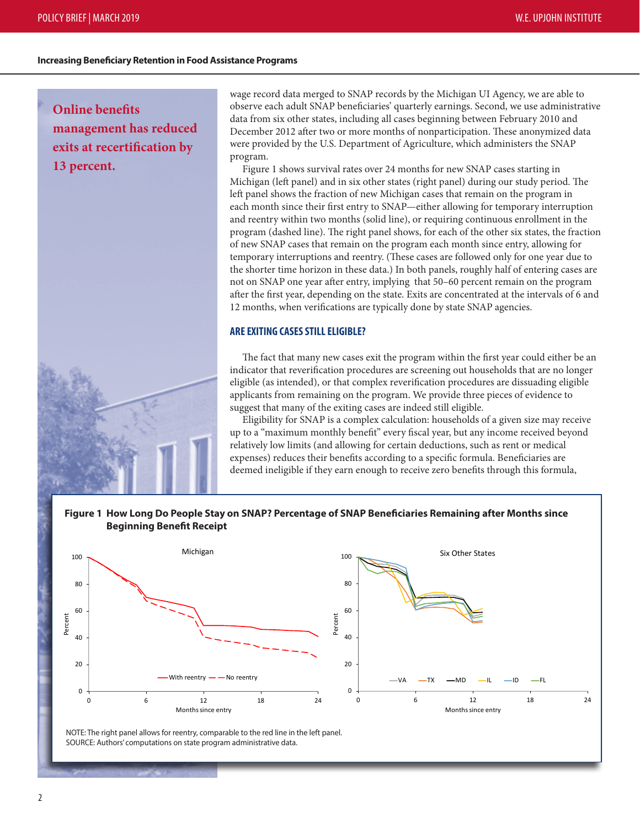#### **Increasing Beneficiary Retention in Food Assistance Programs**

**Online benefits management has reduced exits at recertification by 13 percent.**

wage record data merged to SNAP records by the Michigan UI Agency, we are able to observe each adult SNAP beneficiaries' quarterly earnings. Second, we use administrative data from six other states, including all cases beginning between February 2010 and December 2012 after two or more months of nonparticipation. These anonymized data were provided by the U.S. Department of Agriculture, which administers the SNAP program.

Figure 1 shows survival rates over 24 months for new SNAP cases starting in Michigan (left panel) and in six other states (right panel) during our study period. The left panel shows the fraction of new Michigan cases that remain on the program in each month since their first entry to SNAP—either allowing for temporary interruption and reentry within two months (solid line), or requiring continuous enrollment in the program (dashed line). The right panel shows, for each of the other six states, the fraction of new SNAP cases that remain on the program each month since entry, allowing for temporary interruptions and reentry. (These cases are followed only for one year due to the shorter time horizon in these data.) In both panels, roughly half of entering cases are not on SNAP one year after entry, implying that 50–60 percent remain on the program after the first year, depending on the state. Exits are concentrated at the intervals of 6 and 12 months, when verifications are typically done by state SNAP agencies.

#### **ARE EXITING CASES STILL ELIGIBLE?**

The fact that many new cases exit the program within the first year could either be an indicator that reverification procedures are screening out households that are no longer eligible (as intended), or that complex reverification procedures are dissuading eligible applicants from remaining on the program. We provide three pieces of evidence to suggest that many of the exiting cases are indeed still eligible.

Eligibility for SNAP is a complex calculation: households of a given size may receive up to a "maximum monthly benefit" every fiscal year, but any income received beyond relatively low limits (and allowing for certain deductions, such as rent or medical expenses) reduces their benefits according to a specific formula. Beneficiaries are deemed ineligible if they earn enough to receive zero benefits through this formula,

#### **Figure 1 How Long Do People Stay on SNAP? Percentage of SNAP Beneficiaries Remaining after Months since Beginning Benefit Receipt**



NOTE: The right panel allows for reentry, comparable to the red line in the left panel. SOURCE: Authors' computations on state program administrative data.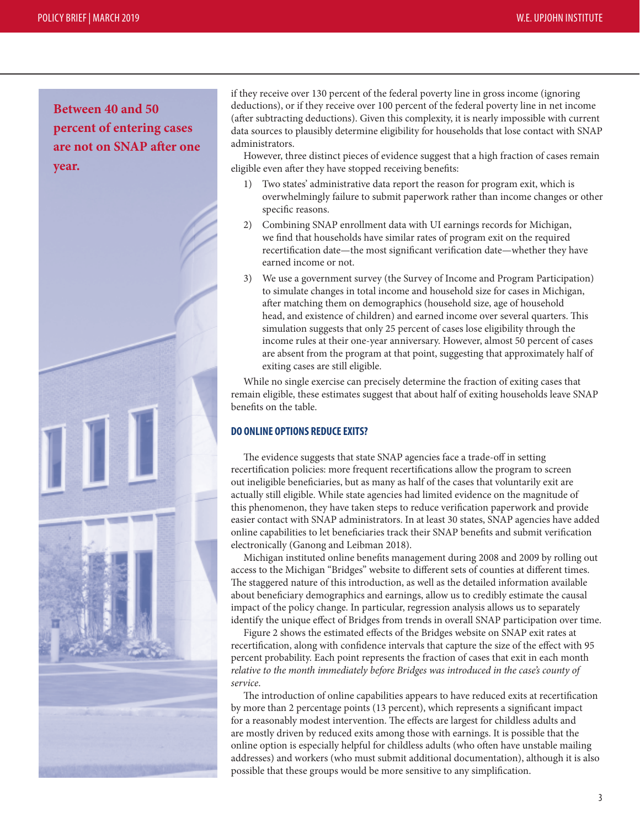**Between 40 and 50 percent of entering cases are not on SNAP after one year.**



if they receive over 130 percent of the federal poverty line in gross income (ignoring deductions), or if they receive over 100 percent of the federal poverty line in net income (after subtracting deductions). Given this complexity, it is nearly impossible with current data sources to plausibly determine eligibility for households that lose contact with SNAP administrators.

However, three distinct pieces of evidence suggest that a high fraction of cases remain eligible even after they have stopped receiving benefits:

- 1) Two states' administrative data report the reason for program exit, which is overwhelmingly failure to submit paperwork rather than income changes or other specific reasons.
- 2) Combining SNAP enrollment data with UI earnings records for Michigan, we find that households have similar rates of program exit on the required recertification date—the most significant verification date—whether they have earned income or not.
- 3) We use a government survey (the Survey of Income and Program Participation) to simulate changes in total income and household size for cases in Michigan, after matching them on demographics (household size, age of household head, and existence of children) and earned income over several quarters. This simulation suggests that only 25 percent of cases lose eligibility through the income rules at their one-year anniversary. However, almost 50 percent of cases are absent from the program at that point, suggesting that approximately half of exiting cases are still eligible.

While no single exercise can precisely determine the fraction of exiting cases that remain eligible, these estimates suggest that about half of exiting households leave SNAP benefits on the table.

#### **DO ONLINE OPTIONS REDUCE EXITS?**

The evidence suggests that state SNAP agencies face a trade-off in setting recertification policies: more frequent recertifications allow the program to screen out ineligible beneficiaries, but as many as half of the cases that voluntarily exit are actually still eligible. While state agencies had limited evidence on the magnitude of this phenomenon, they have taken steps to reduce verification paperwork and provide easier contact with SNAP administrators. In at least 30 states, SNAP agencies have added online capabilities to let beneficiaries track their SNAP benefits and submit verification electronically (Ganong and Leibman 2018).

Michigan instituted online benefits management during 2008 and 2009 by rolling out access to the Michigan "Bridges" website to different sets of counties at different times. The staggered nature of this introduction, as well as the detailed information available about beneficiary demographics and earnings, allow us to credibly estimate the causal impact of the policy change. In particular, regression analysis allows us to separately identify the unique effect of Bridges from trends in overall SNAP participation over time.

Figure 2 shows the estimated effects of the Bridges website on SNAP exit rates at recertification, along with confidence intervals that capture the size of the effect with 95 percent probability. Each point represents the fraction of cases that exit in each month *relative to the month immediately before Bridges was introduced in the case's county of service*.

The introduction of online capabilities appears to have reduced exits at recertification by more than 2 percentage points (13 percent), which represents a significant impact for a reasonably modest intervention. The effects are largest for childless adults and are mostly driven by reduced exits among those with earnings. It is possible that the online option is especially helpful for childless adults (who often have unstable mailing addresses) and workers (who must submit additional documentation), although it is also possible that these groups would be more sensitive to any simplification.